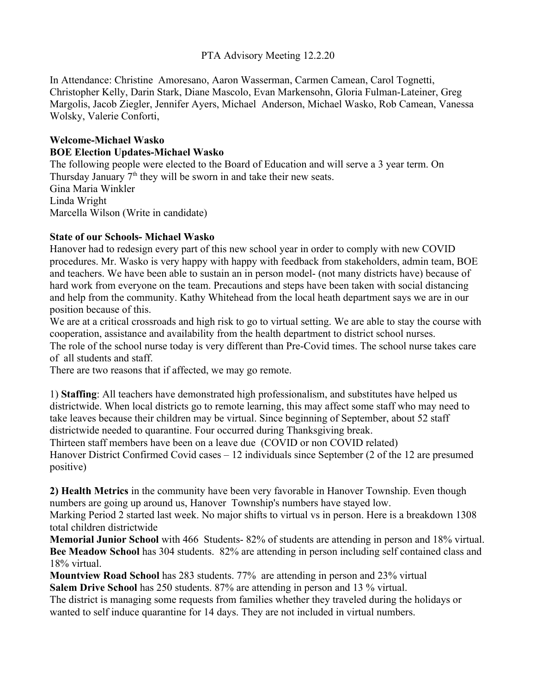### PTA Advisory Meeting 12.2.20

In Attendance: Christine Amoresano, Aaron Wasserman, Carmen Camean, Carol Tognetti, Christopher Kelly, Darin Stark, Diane Mascolo, Evan Markensohn, Gloria Fulman-Lateiner, Greg Margolis, Jacob Ziegler, Jennifer Ayers, Michael Anderson, Michael Wasko, Rob Camean, Vanessa Wolsky, Valerie Conforti,

### **Welcome-Michael Wasko BOE Election Updates-Michael Wasko**

The following people were elected to the Board of Education and will serve a 3 year term. On Thursday January  $7<sup>th</sup>$  they will be sworn in and take their new seats. Gina Maria Winkler Linda Wright Marcella Wilson (Write in candidate)

## **State of our Schools- Michael Wasko**

Hanover had to redesign every part of this new school year in order to comply with new COVID procedures. Mr. Wasko is very happy with happy with feedback from stakeholders, admin team, BOE and teachers. We have been able to sustain an in person model- (not many districts have) because of hard work from everyone on the team. Precautions and steps have been taken with social distancing and help from the community. Kathy Whitehead from the local heath department says we are in our position because of this.

We are at a critical crossroads and high risk to go to virtual setting. We are able to stay the course with cooperation, assistance and availability from the health department to district school nurses. The role of the school nurse today is very different than Pre-Covid times. The school nurse takes care of all students and staff.

There are two reasons that if affected, we may go remote.

1) **Staffing**: All teachers have demonstrated high professionalism, and substitutes have helped us districtwide. When local districts go to remote learning, this may affect some staff who may need to take leaves because their children may be virtual. Since beginning of September, about 52 staff districtwide needed to quarantine. Four occurred during Thanksgiving break.

Thirteen staff members have been on a leave due (COVID or non COVID related) Hanover District Confirmed Covid cases – 12 individuals since September (2 of the 12 are presumed positive)

**2) Health Metrics** in the community have been very favorable in Hanover Township. Even though numbers are going up around us, Hanover Township's numbers have stayed low.

Marking Period 2 started last week. No major shifts to virtual vs in person. Here is a breakdown 1308 total children districtwide

**Memorial Junior School** with 466 Students- 82% of students are attending in person and 18% virtual. **Bee Meadow School** has 304 students. 82% are attending in person including self contained class and 18% virtual.

**Mountview Road School** has 283 students. 77% are attending in person and 23% virtual **Salem Drive School** has 250 students. 87% are attending in person and 13 % virtual.

The district is managing some requests from families whether they traveled during the holidays or wanted to self induce quarantine for 14 days. They are not included in virtual numbers.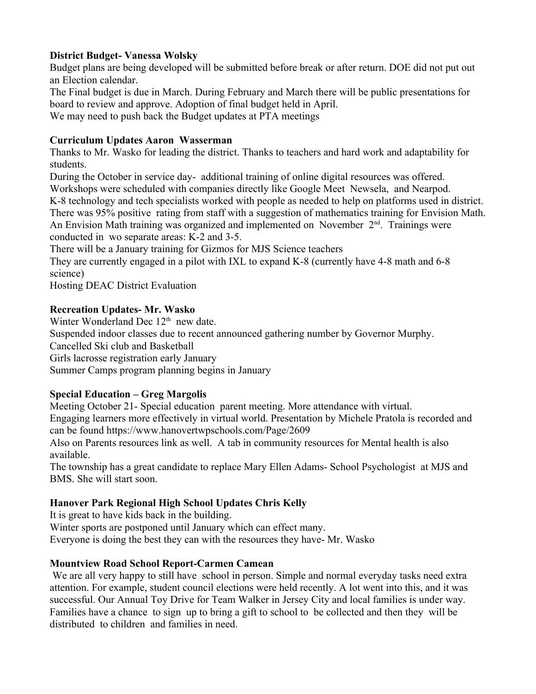## **District Budget- Vanessa Wolsky**

Budget plans are being developed will be submitted before break or after return. DOE did not put out an Election calendar.

The Final budget is due in March. During February and March there will be public presentations for board to review and approve. Adoption of final budget held in April.

We may need to push back the Budget updates at PTA meetings

### **Curriculum Updates Aaron Wasserman**

Thanks to Mr. Wasko for leading the district. Thanks to teachers and hard work and adaptability for students.

During the October in service day- additional training of online digital resources was offered.

Workshops were scheduled with companies directly like Google Meet Newsela, and Nearpod. K-8 technology and tech specialists worked with people as needed to help on platforms used in district. There was 95% positive rating from staff with a suggestion of mathematics training for Envision Math. An Envision Math training was organized and implemented on November  $2<sup>nd</sup>$ . Trainings were conducted in wo separate areas: K-2 and 3-5.

There will be a January training for Gizmos for MJS Science teachers

They are currently engaged in a pilot with IXL to expand K-8 (currently have 4-8 math and 6-8 science)

Hosting DEAC District Evaluation

# **Recreation Updates- Mr. Wasko**

Winter Wonderland Dec  $12<sup>th</sup>$  new date.

Suspended indoor classes due to recent announced gathering number by Governor Murphy.

Cancelled Ski club and Basketball

Girls lacrosse registration early January

Summer Camps program planning begins in January

# **Special Education – Greg Margolis**

Meeting October 21- Special education parent meeting. More attendance with virtual. Engaging learners more effectively in virtual world. Presentation by Michele Pratola is recorded and can be found https://www.hanovertwpschools.com/Page/2609

Also on Parents resources link as well. A tab in community resources for Mental health is also available.

The township has a great candidate to replace Mary Ellen Adams- School Psychologist at MJS and BMS. She will start soon.

# **Hanover Park Regional High School Updates Chris Kelly**

It is great to have kids back in the building.

Winter sports are postponed until January which can effect many.

Everyone is doing the best they can with the resources they have- Mr. Wasko

# **Mountview Road School Report-Carmen Camean**

We are all very happy to still have school in person. Simple and normal everyday tasks need extra attention. For example, student council elections were held recently. A lot went into this, and it was successful. Our Annual Toy Drive for Team Walker in Jersey City and local families is under way. Families have a chance to sign up to bring a gift to school to be collected and then they will be distributed to children and families in need.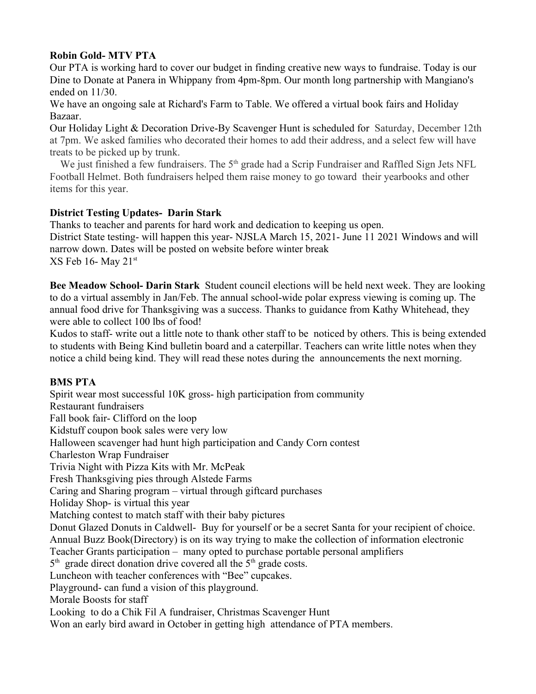## **Robin Gold- MTV PTA**

Our PTA is working hard to cover our budget in finding creative new ways to fundraise. Today is our Dine to Donate at Panera in Whippany from 4pm-8pm. Our month long partnership with Mangiano's ended on 11/30.

We have an ongoing sale at Richard's Farm to Table. We offered a virtual book fairs and Holiday Bazaar.

Our Holiday Light & Decoration Drive-By Scavenger Hunt is scheduled for Saturday, December 12th at 7pm. We asked families who decorated their homes to add their address, and a select few will have treats to be picked up by trunk.

We just finished a few fundraisers. The 5<sup>th</sup> grade had a Scrip Fundraiser and Raffled Sign Jets NFL Football Helmet. Both fundraisers helped them raise money to go toward their yearbooks and other items for this year.

## **District Testing Updates- Darin Stark**

Thanks to teacher and parents for hard work and dedication to keeping us open. District State testing- will happen this year- NJSLA March 15, 2021- June 11 2021 Windows and will narrow down. Dates will be posted on website before winter break  $XS$  Feb 16- May 21st

**Bee Meadow School- Darin Stark** Student council elections will be held next week. They are looking to do a virtual assembly in Jan/Feb. The annual school-wide polar express viewing is coming up. The annual food drive for Thanksgiving was a success. Thanks to guidance from Kathy Whitehead, they were able to collect 100 lbs of food!

Kudos to staff- write out a little note to thank other staff to be noticed by others. This is being extended to students with Being Kind bulletin board and a caterpillar. Teachers can write little notes when they notice a child being kind. They will read these notes during the announcements the next morning.

### **BMS PTA**

Spirit wear most successful 10K gross- high participation from community Restaurant fundraisers Fall book fair- Clifford on the loop Kidstuff coupon book sales were very low Halloween scavenger had hunt high participation and Candy Corn contest Charleston Wrap Fundraiser Trivia Night with Pizza Kits with Mr. McPeak Fresh Thanksgiving pies through Alstede Farms Caring and Sharing program – virtual through giftcard purchases Holiday Shop- is virtual this year Matching contest to match staff with their baby pictures Donut Glazed Donuts in Caldwell- Buy for yourself or be a secret Santa for your recipient of choice. Annual Buzz Book(Directory) is on its way trying to make the collection of information electronic Teacher Grants participation – many opted to purchase portable personal amplifiers  $5<sup>th</sup>$  grade direct donation drive covered all the  $5<sup>th</sup>$  grade costs. Luncheon with teacher conferences with "Bee" cupcakes. Playground- can fund a vision of this playground. Morale Boosts for staff Looking to do a Chik Fil A fundraiser, Christmas Scavenger Hunt Won an early bird award in October in getting high attendance of PTA members.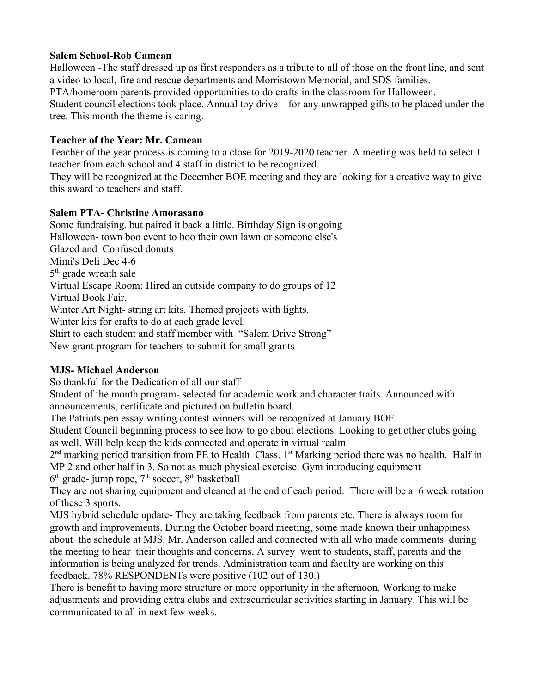### **Salem School-Rob Camean**

Halloween -The staff dressed up as first responders as a tribute to all of those on the front line, and sent a video to local, fire and rescue departments and Morristown Memorial, and SDS families. PTA/homeroom parents provided opportunities to do crafts in the classroom for Halloween. Student council elections took place. Annual toy drive – for any unwrapped gifts to be placed under the tree. This month the theme is caring.

### **Teacher of the Year: Mr. Camean**

Teacher of the year process is coming to a close for 2019-2020 teacher. A meeting was held to select 1 teacher from each school and 4 staff in district to be recognized.

They will be recognized at the December BOE meeting and they are looking for a creative way to give this award to teachers and staff.

## **Salem PTA- Christine Amorasano**

Some fundraising, but paired it back a little. Birthday Sign is ongoing Halloween- town boo event to boo their own lawn or someone else's Glazed and Confused donuts Mimi's Deli Dec 4-6 5<sup>th</sup> grade wreath sale Virtual Escape Room: Hired an outside company to do groups of 12 Virtual Book Fair. Winter Art Night- string art kits. Themed projects with lights. Winter kits for crafts to do at each grade level. Shirt to each student and staff member with "Salem Drive Strong"

New grant program for teachers to submit for small grants

# **MJS- Michael Anderson**

So thankful for the Dedication of all our staff

Student of the month program- selected for academic work and character traits. Announced with announcements, certificate and pictured on bulletin board.

The Patriots pen essay writing contest winners will be recognized at January BOE.

Student Council beginning process to see how to go about elections. Looking to get other clubs going as well. Will help keep the kids connected and operate in virtual realm.

 $2<sup>nd</sup>$  marking period transition from PE to Health Class. 1<sup>st</sup> Marking period there was no health. Half in MP 2 and other half in 3. So not as much physical exercise. Gym introducing equipment  $6<sup>th</sup>$  grade- jump rope,  $7<sup>th</sup>$  soccer,  $8<sup>th</sup>$  basketball

They are not sharing equipment and cleaned at the end of each period. There will be a 6 week rotation of these 3 sports.

MJS hybrid schedule update- They are taking feedback from parents etc. There is always room for growth and improvements. During the October board meeting, some made known their unhappiness about the schedule at MJS. Mr. Anderson called and connected with all who made comments during the meeting to hear their thoughts and concerns. A survey went to students, staff, parents and the information is being analyzed for trends. Administration team and faculty are working on this feedback. 78% RESPONDENTs were positive (102 out of 130.)

There is benefit to having more structure or more opportunity in the afternoon. Working to make adjustments and providing extra clubs and extracurricular activities starting in January. This will be communicated to all in next few weeks.